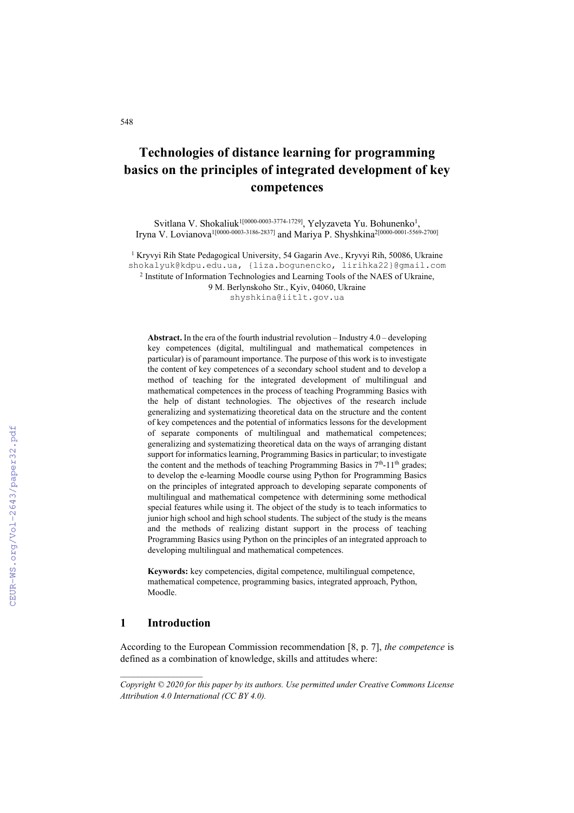# **Technologies of distance learning for programming basics on the principles of integrated development of key competences**

Svitlana V. Shokaliuk<sup>1[0000-0003-3774-1729]</sup>, Yelyzaveta Yu. Bohunenko<sup>1</sup>, Iryna V. Lovianova1[0000-0003-3186-2837] and Mariya P. Shyshkina2[0000-0001-5569-2700]

<sup>1</sup> Kryvyi Rih State Pedagogical University, 54 Gagarin Ave., Kryvyi Rih, 50086, Ukraine [shokalyuk@kdpu.edu.ua,](mailto:shokalyuk@kdpu.edu.ua,) {liza.bogunencko, lirihka22[}@gmail.com](mailto:@gmail.com)

<sup>2</sup> Institute of Information Technologies and Learning Tools of the NAES of Ukraine,

9 M. Berlynskoho Str., Kyiv, 04060, Ukraine

[shyshkina@iitlt.gov.ua](mailto:shyshkina@iitlt.gov.ua)

**Abstract.** In the era of the fourth industrial revolution – Industry 4.0 – developing key competences (digital, multilingual and mathematical competences in particular) is of paramount importance. The purpose of this work is to investigate the content of key competences of a secondary school student and to develop a method of teaching for the integrated development of multilingual and mathematical competences in the process of teaching Programming Basics with the help of distant technologies. The objectives of the research include generalizing and systematizing theoretical data on the structure and the content of key competences and the potential of informatics lessons for the development of separate components of multilingual and mathematical competences; generalizing and systematizing theoretical data on the ways of arranging distant support for informatics learning, Programming Basics in particular; to investigate the content and the methods of teaching Programming Basics in 7<sup>th</sup>-11<sup>th</sup> grades; to develop the e-learning Moodle course using Python for Programming Basics on the principles of integrated approach to developing separate components of multilingual and mathematical competence with determining some methodical special features while using it. The object of the study is to teach informatics to junior high school and high school students. The subject of the study is the means and the methods of realizing distant support in the process of teaching Programming Basics using Python on the principles of an integrated approach to developing multilingual and mathematical competences.

**Keywords:** key competencies, digital competence, multilingual competence, mathematical competence, programming basics, integrated approach, Python, Moodle.

## **1 Introduction**

According to the European Commission recommendation [8, p. 7], *the competence* is defined as a combination of knowledge, skills and attitudes where:

*Copyright © 2020 for this paper by its authors. Use permitted under Creative Commons License Attribution 4.0 International (CC BY 4.0).*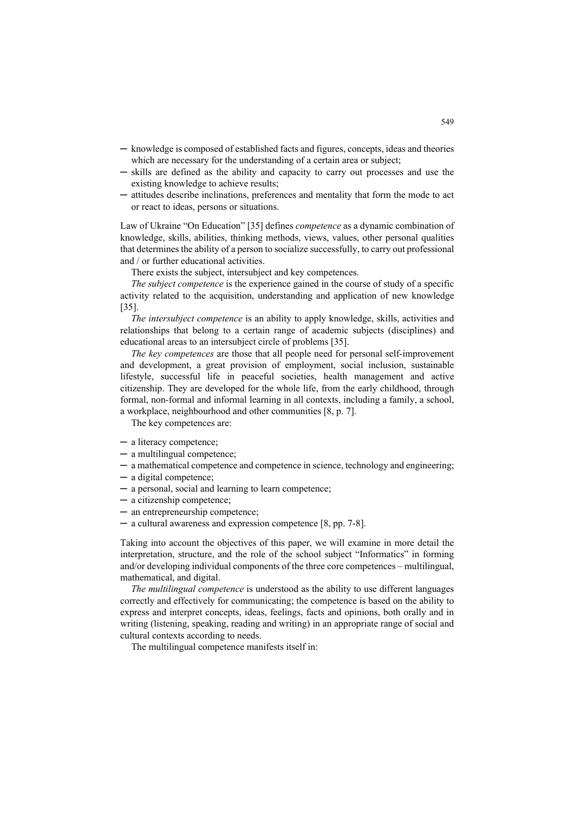- ─ knowledge is composed of established facts and figures, concepts, ideas and theories which are necessary for the understanding of a certain area or subject;
- ─ skills are defined as the ability and capacity to carry out processes and use the existing knowledge to achieve results;
- ─ attitudes describe inclinations, preferences and mentality that form the mode to act or react to ideas, persons or situations.

Law of Ukraine "On Education" [35] defines *competence* as a dynamic combination of knowledge, skills, abilities, thinking methods, views, values, other personal qualities that determines the ability of a person to socialize successfully, to carry out professional and / or further educational activities.

There exists the subject, intersubject and key competences.

*The subject competence* is the experience gained in the course of study of a specific activity related to the acquisition, understanding and application of new knowledge [35].

*The intersubject competence* is an ability to apply knowledge, skills, activities and relationships that belong to a certain range of academic subjects (disciplines) and educational areas to an intersubject circle of problems [35].

*The key competences* are those that all people need for personal self-improvement and development, a great provision of employment, social inclusion, sustainable lifestyle, successful life in peaceful societies, health management and active citizenship. They are developed for the whole life, from the early childhood, through formal, non-formal and informal learning in all contexts, including a family, a school, a workplace, neighbourhood and other communities [8, p. 7].

The key competences are:

- ─ a literacy competence;
- ─ a multilingual competence;
- ─ a mathematical competence and competence in science, technology and engineering;
- ─ a digital competence;
- ─ a personal, social and learning to learn competence;
- ─ a citizenship competence;
- ─ an entrepreneurship competence;
- ─ a cultural awareness and expression competence [8, pp. 7-8].

Taking into account the objectives of this paper, we will examine in more detail the interpretation, structure, and the role of the school subject "Informatics" in forming and/or developing individual components of the three core competences – multilingual, mathematical, and digital.

*The multilingual competence* is understood as the ability to use different languages correctly and effectively for communicating; the competence is based on the ability to express and interpret concepts, ideas, feelings, facts and opinions, both orally and in writing (listening, speaking, reading and writing) in an appropriate range of social and cultural contexts according to needs.

The multilingual competence manifests itself in: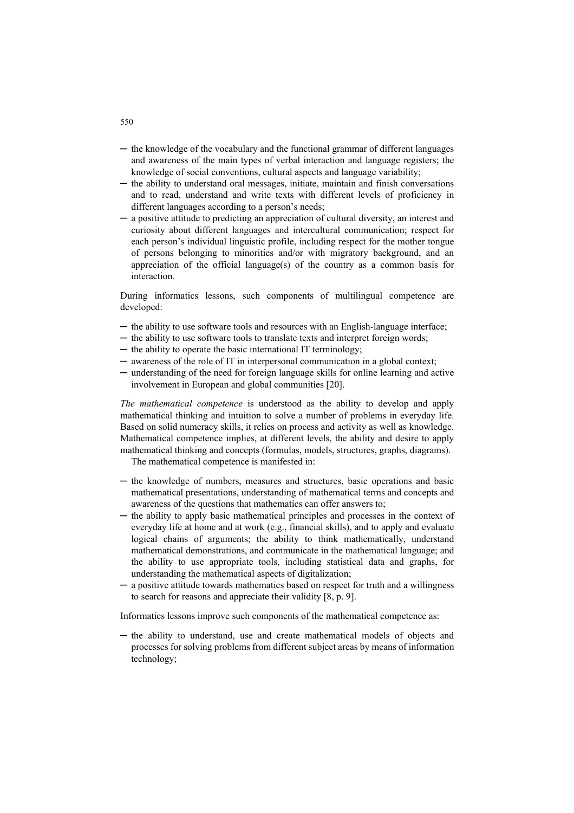- ─ the knowledge of the vocabulary and the functional grammar of different languages and awareness of the main types of verbal interaction and language registers; the knowledge of social conventions, cultural aspects and language variability;
- ─ the ability to understand oral messages, initiate, maintain and finish conversations and to read, understand and write texts with different levels of proficiency in different languages according to a person's needs;
- ─ a positive attitude to predicting an appreciation of cultural diversity, an interest and curiosity about different languages and intercultural communication; respect for each person's individual linguistic profile, including respect for the mother tongue of persons belonging to minorities and/or with migratory background, and an appreciation of the official language(s) of the country as a common basis for interaction.

During informatics lessons, such components of multilingual competence are developed:

- ─ the ability to use software tools and resources with an English-language interface;
- ─ the ability to use software tools to translate texts and interpret foreign words;
- ─ the ability to operate the basic international IT terminology;
- ─ awareness of the role of IT in interpersonal communication in a global context;
- ─ understanding of the need for foreign language skills for online learning and active involvement in European and global communities [20].

*The mathematical competence* is understood as the ability to develop and apply mathematical thinking and intuition to solve a number of problems in everyday life. Based on solid numeracy skills, it relies on process and activity as well as knowledge. Mathematical competence implies, at different levels, the ability and desire to apply mathematical thinking and concepts (formulas, models, structures, graphs, diagrams).

The mathematical competence is manifested in:

- ─ the knowledge of numbers, measures and structures, basic operations and basic mathematical presentations, understanding of mathematical terms and concepts and awareness of the questions that mathematics can offer answers to;
- ─ the ability to apply basic mathematical principles and processes in the context of everyday life at home and at work (e.g., financial skills), and to apply and evaluate logical chains of arguments; the ability to think mathematically, understand mathematical demonstrations, and communicate in the mathematical language; and the ability to use appropriate tools, including statistical data and graphs, for understanding the mathematical aspects of digitalization;
- a positive attitude towards mathematics based on respect for truth and a willingness to search for reasons and appreciate their validity [8, p. 9].

Informatics lessons improve such components of the mathematical competence as:

─ the ability to understand, use and create mathematical models of objects and processes for solving problems from different subject areas by means of information technology;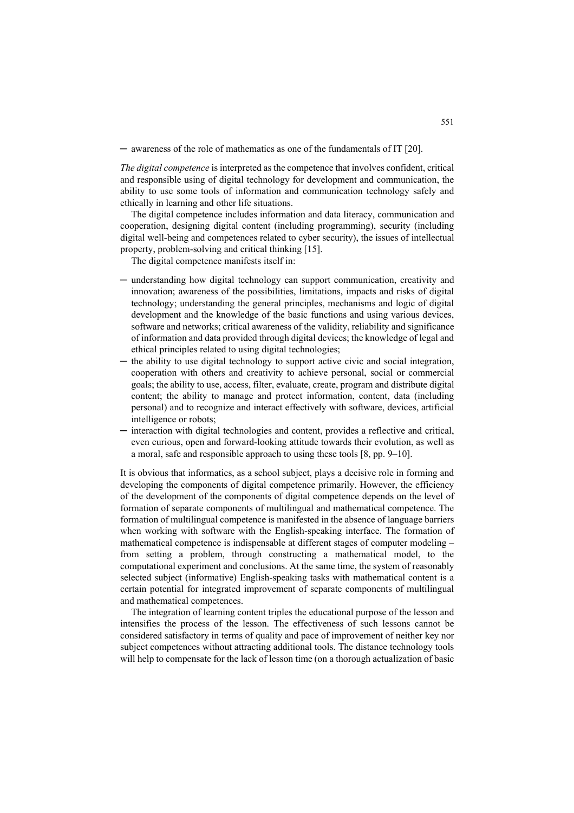─ awareness of the role of mathematics as one of the fundamentals of IT [20].

*The digital competence* is interpreted as the competence that involves confident, critical and responsible using of digital technology for development and communication, the ability to use some tools of information and communication technology safely and ethically in learning and other life situations.

The digital competence includes information and data literacy, communication and cooperation, designing digital content (including programming), security (including digital well-being and competences related to cyber security), the issues of intellectual property, problem-solving and critical thinking [15].

The digital competence manifests itself in:

- ─ understanding how digital technology can support communication, creativity and innovation; awareness of the possibilities, limitations, impacts and risks of digital technology; understanding the general principles, mechanisms and logic of digital development and the knowledge of the basic functions and using various devices, software and networks; critical awareness of the validity, reliability and significance of information and data provided through digital devices; the knowledge of legal and ethical principles related to using digital technologies;
- ─ the ability to use digital technology to support active civic and social integration, cooperation with others and creativity to achieve personal, social or commercial goals; the ability to use, access, filter, evaluate, create, program and distribute digital content; the ability to manage and protect information, content, data (including personal) and to recognize and interact effectively with software, devices, artificial intelligence or robots;
- ─ interaction with digital technologies and content, provides a reflective and critical, even curious, open and forward-looking attitude towards their evolution, as well as a moral, safe and responsible approach to using these tools [8, pp. 9–10].

It is obvious that informatics, as a school subject, plays a decisive role in forming and developing the components of digital competence primarily. However, the efficiency of the development of the components of digital competence depends on the level of formation of separate components of multilingual and mathematical competence. The formation of multilingual competence is manifested in the absence of language barriers when working with software with the English-speaking interface. The formation of mathematical competence is indispensable at different stages of computer modeling – from setting a problem, through constructing a mathematical model, to the computational experiment and conclusions. At the same time, the system of reasonably selected subject (informative) English-speaking tasks with mathematical content is a certain potential for integrated improvement of separate components of multilingual and mathematical competences.

The integration of learning content triples the educational purpose of the lesson and intensifies the process of the lesson. The effectiveness of such lessons cannot be considered satisfactory in terms of quality and pace of improvement of neither key nor subject competences without attracting additional tools. The distance technology tools will help to compensate for the lack of lesson time (on a thorough actualization of basic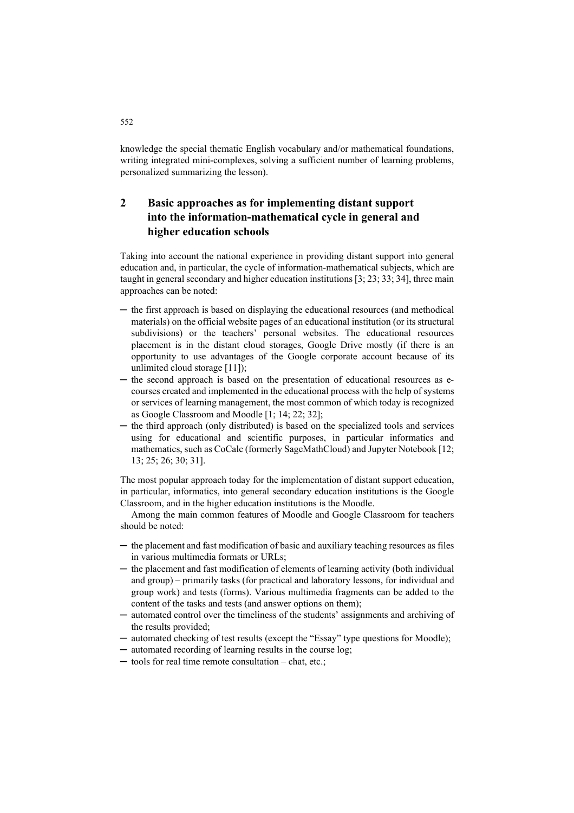knowledge the special thematic English vocabulary and/or mathematical foundations, writing integrated mini-complexes, solving a sufficient number of learning problems, personalized summarizing the lesson).

# **2 Basic approaches as for implementing distant support into the information-mathematical cycle in general and higher education schools**

Taking into account the national experience in providing distant support into general education and, in particular, the cycle of information-mathematical subjects, which are taught in general secondary and higher education institutions [3; 23; 33; 34], three main approaches can be noted:

- ─ the first approach is based on displaying the educational resources (and methodical materials) on the official website pages of an educational institution (or its structural subdivisions) or the teachers' personal websites. The educational resources placement is in the distant cloud storages, Google Drive mostly (if there is an opportunity to use advantages of the Google corporate account because of its unlimited cloud storage [11]);
- ─ the second approach is based on the presentation of educational resources as ecourses created and implemented in the educational process with the help of systems or services of learning management, the most common of which today is recognized as Google Classroom and Moodle [1; 14; 22; 32];
- ─ the third approach (only distributed) is based on the specialized tools and services using for educational and scientific purposes, in particular informatics and mathematics, such as CoCalc (formerly SageMathCloud) and Jupyter Notebook [12; 13; 25; 26; 30; 31].

The most popular approach today for the implementation of distant support education, in particular, informatics, into general secondary education institutions is the Google Classroom, and in the higher education institutions is the Moodle.

Among the main common features of Moodle and Google Classroom for teachers should be noted:

- ─ the placement and fast modification of basic and auxiliary teaching resources as files in various multimedia formats or URLs;
- ─ the placement and fast modification of elements of learning activity (both individual and group) – primarily tasks (for practical and laboratory lessons, for individual and group work) and tests (forms). Various multimedia fragments can be added to the content of the tasks and tests (and answer options on them);
- ─ automated control over the timeliness of the students' assignments and archiving of the results provided;
- ─ automated checking of test results (except the "Essay" type questions for Moodle);
- ─ automated recording of learning results in the course log;
- ─ tools for real time remote consultation chat, etc.;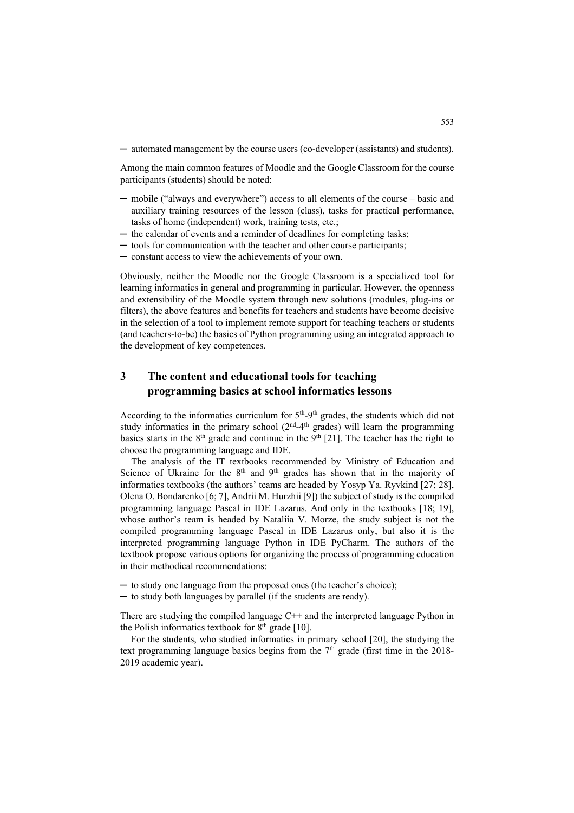─ automated management by the course users (co-developer (assistants) and students).

Among the main common features of Moodle and the Google Classroom for the course participants (students) should be noted:

- ─ mobile ("always and everywhere") access to all elements of the course basic and auxiliary training resources of the lesson (class), tasks for practical performance, tasks of home (independent) work, training tests, etc.;
- ─ the calendar of events and a reminder of deadlines for completing tasks;
- ─ tools for communication with the teacher and other course participants;
- ─ constant access to view the achievements of your own.

Obviously, neither the Moodle nor the Google Classroom is a specialized tool for learning informatics in general and programming in particular. However, the openness and extensibility of the Moodle system through new solutions (modules, plug-ins or filters), the above features and benefits for teachers and students have become decisive in the selection of a tool to implement remote support for teaching teachers or students (and teachers-to-be) the basics of Python programming using an integrated approach to the development of key competences.

# **3 The content and educational tools for teaching programming basics at school informatics lessons**

According to the informatics curriculum for  $5<sup>th</sup>-9<sup>th</sup>$  grades, the students which did not study informatics in the primary school  $(2<sup>nd</sup>-4<sup>th</sup>$  grades) will learn the programming basics starts in the  $8<sup>th</sup>$  grade and continue in the  $9<sup>th</sup>$  [21]. The teacher has the right to choose the programming language and IDE.

The analysis of the IT textbooks recommended by Ministry of Education and Science of Ukraine for the  $8<sup>th</sup>$  and  $9<sup>th</sup>$  grades has shown that in the majority of informatics textbooks (the authors' teams are headed by Yosyp Ya. Ryvkind [27; 28], Olena O. Bondarenko [6; 7], Andrii M. Hurzhii [9]) the subject of study is the compiled programming language Pascal in IDE Lazarus. And only in the textbooks [18; 19], whose author's team is headed by Nataliia V. Morze, the study subject is not the compiled programming language Pascal in IDE Lazarus only, but also it is the interpreted programming language Python in IDE PyCharm. The authors of the textbook propose various options for organizing the process of programming education in their methodical recommendations:

- ─ to study one language from the proposed ones (the teacher's choice);
- ─ to study both languages by parallel (if the students are ready).

There are studying the compiled language  $C++$  and the interpreted language Python in the Polish informatics textbook for  $8<sup>th</sup>$  grade [10].

For the students, who studied informatics in primary school [20], the studying the text programming language basics begins from the  $7<sup>th</sup>$  grade (first time in the 2018-2019 academic year).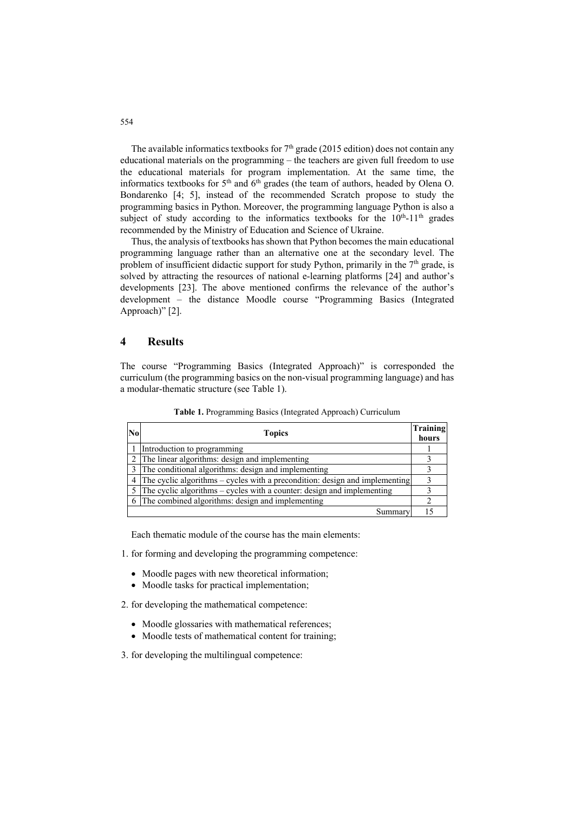The available informatics textbooks for  $7<sup>th</sup>$  grade (2015 edition) does not contain any educational materials on the programming – the teachers are given full freedom to use the educational materials for program implementation. At the same time, the informatics textbooks for 5<sup>th</sup> and 6<sup>th</sup> grades (the team of authors, headed by Olena O. Bondarenko [4; 5], instead of the recommended Scratch propose to study the programming basics in Python. Moreover, the programming language Python is also a subject of study according to the informatics textbooks for the  $10<sup>th</sup>$ -11<sup>th</sup> grades recommended by the Ministry of Education and Science of Ukraine.

Thus, the analysis of textbooks has shown that Python becomes the main educational programming language rather than an alternative one at the secondary level. The problem of insufficient didactic support for study Python, primarily in the  $7<sup>th</sup>$  grade, is solved by attracting the resources of national e-learning platforms [24] and author's developments [23]. The above mentioned confirms the relevance of the author's development – the distance Moodle course "Programming Basics (Integrated Approach)" [2].

#### **4 Results**

The course "Programming Basics (Integrated Approach)" is corresponded the curriculum (the programming basics on the non-visual programming language) and has a modular-thematic structure (see Table 1).

| N <sub>0</sub> | <b>Topics</b>                                                               |    |  |  |  |
|----------------|-----------------------------------------------------------------------------|----|--|--|--|
|                | Introduction to programming                                                 |    |  |  |  |
|                | The linear algorithms: design and implementing                              |    |  |  |  |
|                | The conditional algorithms: design and implementing                         |    |  |  |  |
|                | The cyclic algorithms – cycles with a precondition: design and implementing |    |  |  |  |
|                | The cyclic algorithms – cycles with a counter: design and implementing      |    |  |  |  |
| 6              | The combined algorithms: design and implementing                            |    |  |  |  |
|                | Summary                                                                     | 15 |  |  |  |

**Table 1.** Programming Basics (Integrated Approach) Curriculum

Each thematic module of the course has the main elements:

1. for forming and developing the programming competence:

- Moodle pages with new theoretical information;
- Moodle tasks for practical implementation;
- 2. for developing the mathematical competence:
	- Moodle glossaries with mathematical references;
	- Moodle tests of mathematical content for training;
- 3. for developing the multilingual competence: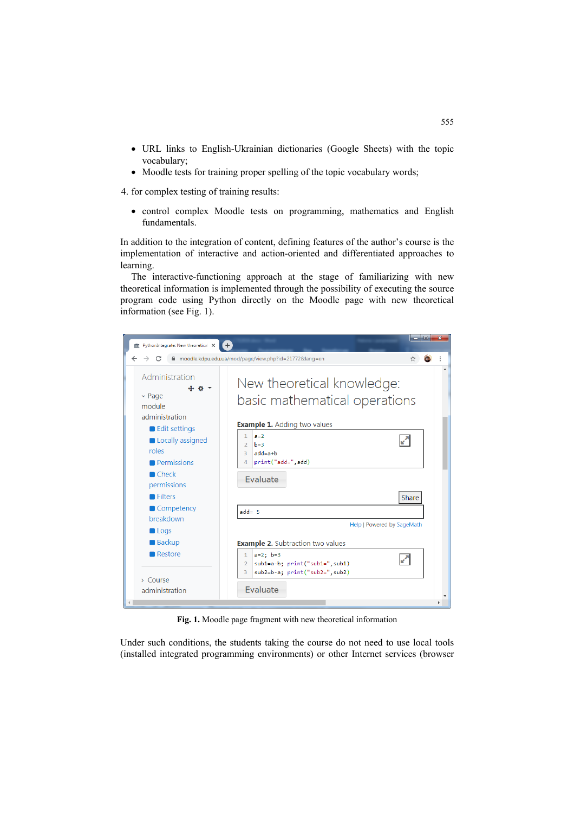- URL links to English-Ukrainian dictionaries (Google Sheets) with the topic vocabulary;
- Moodle tests for training proper spelling of the topic vocabulary words;

4. for complex testing of training results:

• control complex Moodle tests on programming, mathematics and English fundamentals.

In addition to the integration of content, defining features of the author's course is the implementation of interactive and action-oriented and differentiated approaches to learning.

The interactive-functioning approach at the stage of familiarizing with new theoretical information is implemented through the possibility of executing the source program code using Python directly on the Moodle page with new theoretical information (see Fig. 1).



**Fig. 1.** Moodle page fragment with new theoretical information

Under such conditions, the students taking the course do not need to use local tools (installed integrated programming environments) or other Internet services (browser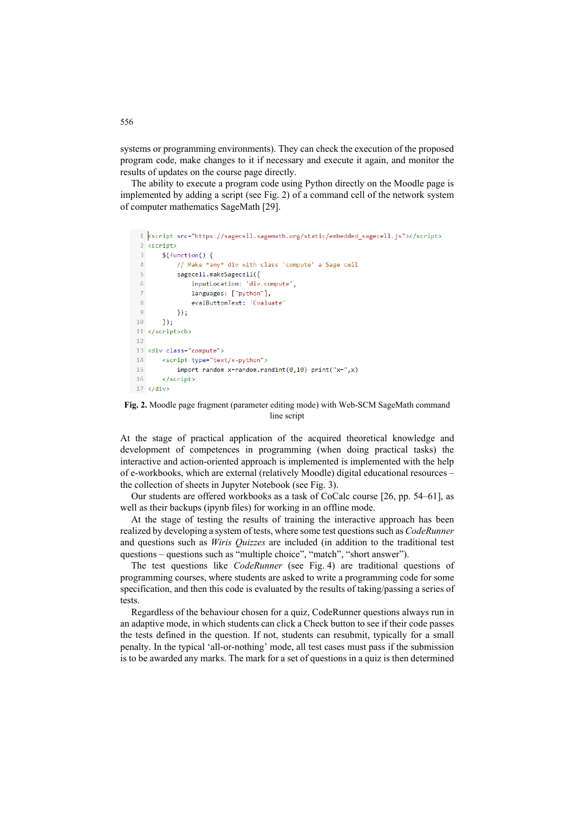systems or programming environments). They can check the execution of the proposed program code, make changes to it if necessary and execute it again, and monitor the results of updates on the course page directly.

The ability to execute a program code using Python directly on the Moodle page is implemented by adding a script (see Fig. 2) of a command cell of the network system of computer mathematics SageMath [29].

```
1 kscript src="https://sagecell.sagemath.org/static/embedded sagecell.js"></script>
 2 cscripts
 \overline{3}$(function() {
            // Make *any* div with class 'compute' a Sage cell
\Delta\mathbf{r}_isagecell.makeSagecell({
                  inputLocation: 'div.compute',
\sqrt{6}\overline{7}languages: ["python"],
\overline{8}evalButtonText: 'Evaluate
\overline{9}\rightarrow.
10<sub>o</sub>\});
11 </script><br/>kb>
1213 <div class="compute">
        <script type="text/x-python">
14
15
            import random x=random.randint(0,10) print("x=",x)
16
        </script>
17 \times /div
```
**Fig. 2.** Moodle page fragment (parameter editing mode) with Web-SCM SageMath command line script

At the stage of practical application of the acquired theoretical knowledge and development of competences in programming (when doing practical tasks) the interactive and action-oriented approach is implemented is implemented with the help of e-workbooks, which are external (relatively Moodle) digital educational resources – the collection of sheets in Jupyter Notebook (see Fig. 3).

Our students are offered workbooks as a task of CoCalc course [26, pp. 54–61], as well as their backups (ipynb files) for working in an offline mode.

At the stage of testing the results of training the interactive approach has been realized by developing a system of tests, where some test questions such as *CodeRunner* and questions such as *Wiris Quizzes* are included (in addition to the traditional test questions – questions such as "multiple choice", "match", "short answer").

The test questions like *CodeRunner* (see Fig. 4) are traditional questions of programming courses, where students are asked to write a programming code for some specification, and then this code is evaluated by the results of taking/passing a series of tests.

Regardless of the behaviour chosen for a quiz, CodeRunner questions always run in an adaptive mode, in which students can click a Check button to see if their code passes the tests defined in the question. If not, students can resubmit, typically for a small penalty. In the typical 'all-or-nothing' mode, all test cases must pass if the submission is to be awarded any marks. The mark for a set of questions in a quiz is then determined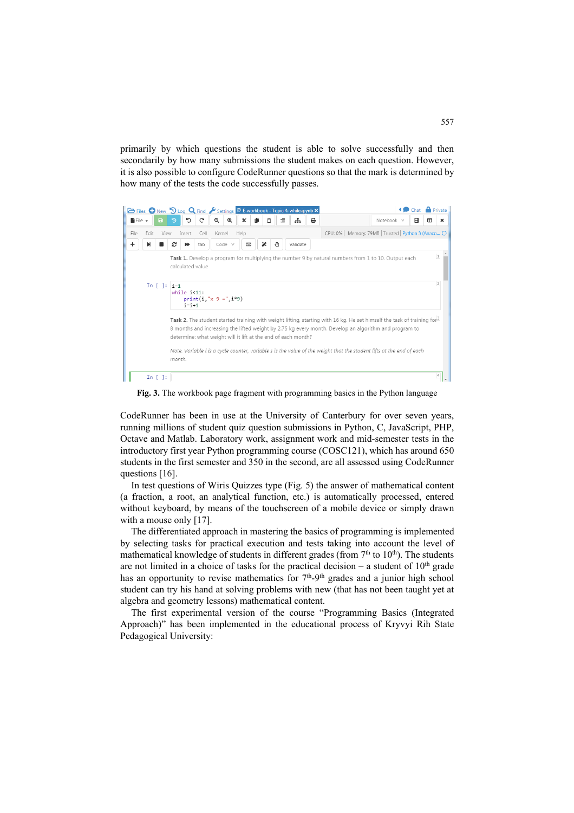primarily by which questions the student is able to solve successfully and then secondarily by how many submissions the student makes on each question. However, it is also possible to configure CodeRunner questions so that the mark is determined by how many of the tests the code successfully passes.



**Fig. 3.** The workbook page fragment with programming basics in the Python language

CodeRunner has been in use at the University of Canterbury for over seven years, running millions of student quiz question submissions in Python, C, JavaScript, PHP, Octave and Matlab. Laboratory work, assignment work and mid-semester tests in the introductory first year Python programming course (COSC121), which has around 650 students in the first semester and 350 in the second, are all assessed using CodeRunner questions [16].

In test questions of Wiris Quizzes type (Fig. 5) the answer of mathematical content (a fraction, a root, an analytical function, etc.) is automatically processed, entered without keyboard, by means of the touchscreen of a mobile device or simply drawn with a mouse only [17].

The differentiated approach in mastering the basics of programming is implemented by selecting tasks for practical execution and tests taking into account the level of mathematical knowledge of students in different grades (from  $7<sup>th</sup>$  to  $10<sup>th</sup>$ ). The students are not limited in a choice of tasks for the practical decision – a student of  $10<sup>th</sup>$  grade has an opportunity to revise mathematics for  $7<sup>th</sup>-9<sup>th</sup>$  grades and a junior high school student can try his hand at solving problems with new (that has not been taught yet at algebra and geometry lessons) mathematical content.

The first experimental version of the course "Programming Basics (Integrated Approach)" has been implemented in the educational process of Kryvyi Rih State Pedagogical University: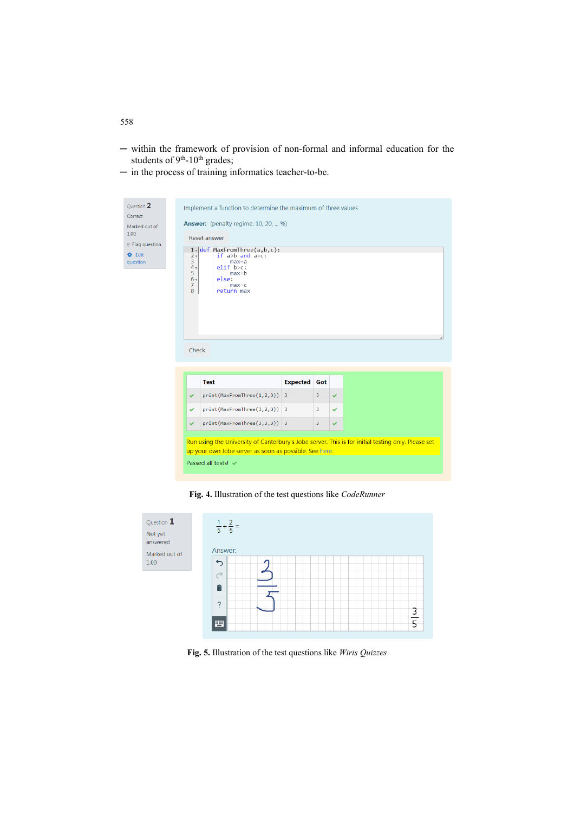- ─ within the framework of provision of non-formal and informal education for the students of 9<sup>th</sup>-10<sup>th</sup> grades;
- ─ in the process of training informatics teacher-to-be.

| Ouestion 2<br>Correct<br>Marked out of<br>1.00<br>$\mathbb F$ Flag question<br><b>O</b> Edit<br>question | 2 <sub>x</sub><br>3<br>4 <sub>v</sub><br>5<br>$6\sqrt{ }$<br>$\overline{7}$<br>8<br>Check                                                                                           | Implement a function to determine the maximum of three values<br><b>Answer:</b> (penalty regime: 10, 20,  %)<br>Reset answer<br>$1 - det$ MaxFromThree(a,b,c):<br>if $a>b$ and $a\geq c$ :<br>$max=a$<br>$elif$ b>c:<br>$max=b$<br>else:<br>$max=c$<br>return max |                         |     |              |  |  |
|----------------------------------------------------------------------------------------------------------|-------------------------------------------------------------------------------------------------------------------------------------------------------------------------------------|-------------------------------------------------------------------------------------------------------------------------------------------------------------------------------------------------------------------------------------------------------------------|-------------------------|-----|--------------|--|--|
|                                                                                                          |                                                                                                                                                                                     |                                                                                                                                                                                                                                                                   |                         |     |              |  |  |
|                                                                                                          |                                                                                                                                                                                     | <b>Test</b>                                                                                                                                                                                                                                                       | <b>Expected</b>         | Got |              |  |  |
|                                                                                                          | ✓                                                                                                                                                                                   | print(MaxFromThree(1,2,3))                                                                                                                                                                                                                                        | $\overline{3}$          | 3   | $\checkmark$ |  |  |
|                                                                                                          | ✓                                                                                                                                                                                   | $print(MaxFromThree(3,2,3))$ 3                                                                                                                                                                                                                                    |                         | 3   | ✓            |  |  |
|                                                                                                          | $\checkmark$                                                                                                                                                                        | print(MaxFromThree(3,3,3))                                                                                                                                                                                                                                        | $\overline{\mathbf{3}}$ | 3   | $\checkmark$ |  |  |
|                                                                                                          | Run using the University of Canterbury's Jobe server. This is for initial testing only. Please set<br>up your own Jobe server as soon as possible. See here.<br>Passed all tests! ↓ |                                                                                                                                                                                                                                                                   |                         |     |              |  |  |

**Fig. 4.** Illustration of the test questions like *CodeRunner*



**Fig. 5.** Illustration of the test questions like *Wiris Quizzes*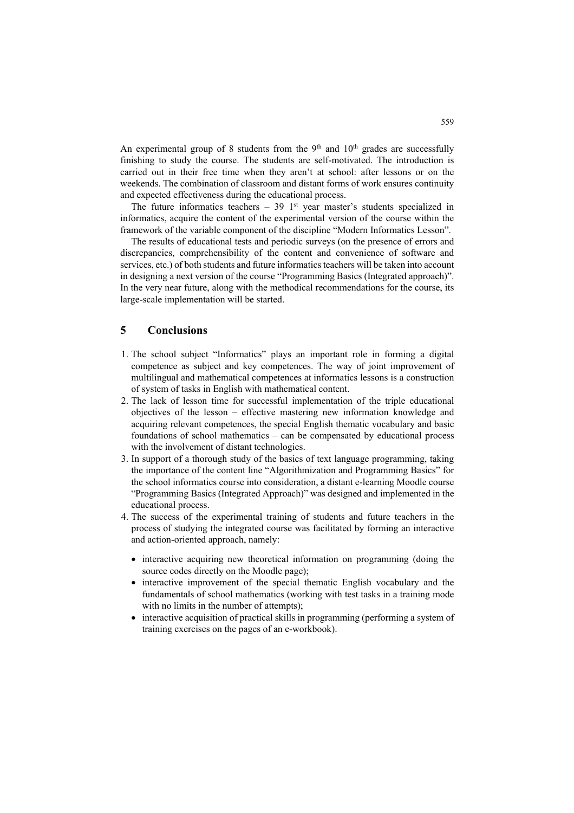An experimental group of 8 students from the  $9<sup>th</sup>$  and  $10<sup>th</sup>$  grades are successfully finishing to study the course. The students are self-motivated. The introduction is carried out in their free time when they aren't at school: after lessons or on the weekends. The combination of classroom and distant forms of work ensures continuity and expected effectiveness during the educational process.

The future informatics teachers  $-39$  1<sup>st</sup> year master's students specialized in informatics, acquire the content of the experimental version of the course within the framework of the variable component of the discipline "Modern Informatics Lesson".

The results of educational tests and periodic surveys (on the presence of errors and discrepancies, comprehensibility of the content and convenience of software and services, etc.) of both students and future informatics teachers will be taken into account in designing a next version of the course "Programming Basics (Integrated approach)". In the very near future, along with the methodical recommendations for the course, its large-scale implementation will be started.

## **5 Conclusions**

- 1. The school subject "Informatics" plays an important role in forming a digital competence as subject and key competences. The way of joint improvement of multilingual and mathematical competences at informatics lessons is a construction of system of tasks in English with mathematical content.
- 2. The lack of lesson time for successful implementation of the triple educational objectives of the lesson – effective mastering new information knowledge and acquiring relevant competences, the special English thematic vocabulary and basic foundations of school mathematics – can be compensated by educational process with the involvement of distant technologies.
- 3. In support of a thorough study of the basics of text language programming, taking the importance of the content line "Algorithmization and Programming Basics" for the school informatics course into consideration, a distant e-learning Moodle course "Programming Basics (Integrated Approach)" was designed and implemented in the educational process.
- 4. The success of the experimental training of students and future teachers in the process of studying the integrated course was facilitated by forming an interactive and action-oriented approach, namely:
	- interactive acquiring new theoretical information on programming (doing the source codes directly on the Moodle page);
	- interactive improvement of the special thematic English vocabulary and the fundamentals of school mathematics (working with test tasks in a training mode with no limits in the number of attempts);
	- interactive acquisition of practical skills in programming (performing a system of training exercises on the pages of an e-workbook).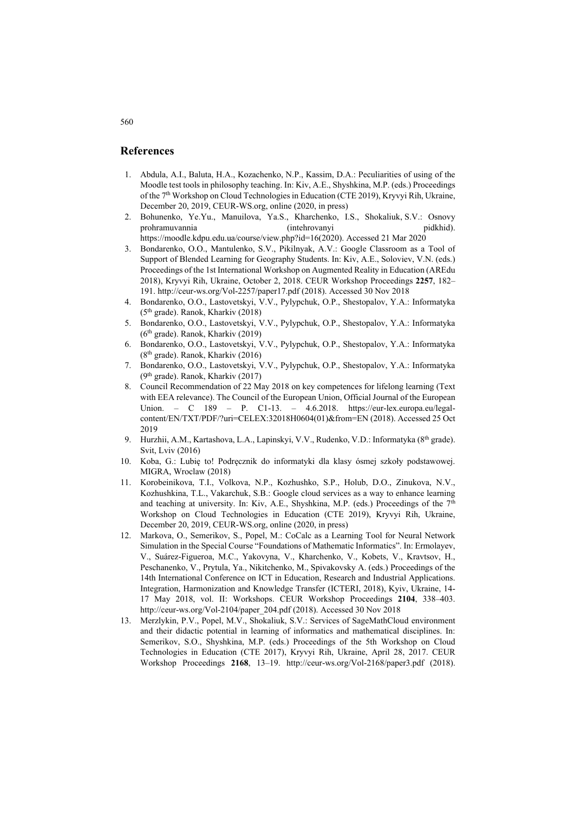### **References**

- 1. Abdula, A.I., Baluta, H.A., Kozachenko, N.P., Kassim, D.A.: Peculiarities of using of the Moodle test tools in philosophy teaching. In: Kiv, A.E., Shyshkina, M.P. (eds.) Proceedings of the 7<sup>th</sup> Workshop on Cloud Technologies in Education (CTE 2019), Kryvyi Rih, Ukraine, December 20, 2019, CEUR-WS.org, online (2020, in press)
- 2. Bohunenko, Ye.Yu., Manuilova, Ya.S., Kharchenko, I.S., Shokaliuk, S.V.: Osnovy prohramuvannia (intehrovanyi pidkhid). [https://moodle.kdpu.edu.ua/course/view.php?id=16\(2020\).](https://moodle.kdpu.edu.ua/course/view.php?id=16(2020).) Accessed 21 Mar 2020
- 3. Bondarenko, O.O., Mantulenko, S.V., Pikilnyak, A.V.: Google Classroom as a Tool of Support of Blended Learning for Geography Students. In: Kiv, A.E., Soloviev, V.N. (eds.) Proceedings of the 1st International Workshop on Augmented Reality in Education (AREdu 2018), Kryvyi Rih, Ukraine, October 2, 2018. CEUR Workshop Proceedings **2257**, 182– 191. <http://ceur-ws.org/Vol-2257/paper17.pdf> (2018). Accessed 30 Nov 2018
- 4. Bondarenko, О.О., Lastovetskyi, V.V., Pylypchuk, O.P., Shestopalov, Y.A.: Informatyka (5th grade). Ranok, Kharkiv (2018)
- 5. Bondarenko, О.О., Lastovetskyi, V.V., Pylypchuk, O.P., Shestopalov, Y.A.: Informatyka  $(6<sup>th</sup> grade)$ . Ranok, Kharkiv (2019)
- 6. Bondarenko, О.О., Lastovetskyi, V.V., Pylypchuk, O.P., Shestopalov, Y.A.: Informatyka (8th grade). Ranok, Kharkiv (2016)
- 7. Bondarenko, О.О., Lastovetskyi, V.V., Pylypchuk, O.P., Shestopalov, Y.A.: Informatyka  $(9<sup>th</sup> grade)$ . Ranok, Kharkiv (2017)
- 8. Council Recommendation of 22 May 2018 on key competences for lifelong learning (Text with EEA relevance). The Council of the European Union, Official Journal of the European Union. – C 189 – P. C1-13. – 4.6.2018. [https://eur-lex.europa.eu/legal](https://eur-lex.europa.eu/legal-)content/EN/TXT/PDF/?uri=CELEX:32018H0604(01)&from=EN (2018). Accessed 25 Oct 2019
- 9. Hurzhii, A.M., Kartashova, L.A., Lapinskyi, V.V., Rudenko, V.D.: Informatyka (8<sup>th</sup> grade). Svit, Lviv (2016)
- 10. Koba, G.: Lubię to! Podręcznik do informatyki dla klasy ósmej szkoły podstawowej. MIGRA, Wroclaw (2018)
- 11. Korobeinikova, T.I., Volkova, N.P., Kozhushko, S.P., Holub, D.O., Zinukova, N.V., Kozhushkina, T.L., Vakarchuk, S.B.: Google cloud services as a way to enhance learning and teaching at university. In: Kiv, A.E., Shyshkina, M.P. (eds.) Proceedings of the  $7<sup>th</sup>$ Workshop on Cloud Technologies in Education (CTE 2019), Kryvyi Rih, Ukraine, December 20, 2019, CEUR-WS.org, online (2020, in press)
- 12. Markova, O., Semerikov, S., Popel, M.: CoCalc as a Learning Tool for Neural Network Simulation in the Special Course "Foundations of Mathematic Informatics". In: Ermolayev, V., Suárez-Figueroa, M.C., Yakovyna, V., Kharchenko, V., Kobets, V., Kravtsov, H., Peschanenko, V., Prytula, Ya., Nikitchenko, M., Spivakovsky A. (eds.) Proceedings of the 14th International Conference on ICT in Education, Research and Industrial Applications. Integration, Harmonization and Knowledge Transfer (ICTERI, 2018), Kyiv, Ukraine, 14- 17 May 2018, vol. II: Workshops. CEUR Workshop Proceedings **2104**, 338–403. [http://ceur-ws.org/Vol-2104/paper\\_204.pdf](http://ceur-ws.org/Vol-2104/paper_204.pdf) (2018). Accessed 30 Nov 2018
- 13. Merzlykin, P.V., Popel, M.V., Shokaliuk, S.V.: Services of SageMathCloud environment and their didactic potential in learning of informatics and mathematical disciplines. In: Semerikov, S.O., Shyshkina, M.P. (eds.) Proceedings of the 5th Workshop on Cloud Technologies in Education (CTE 2017), Kryvyi Rih, Ukraine, April 28, 2017. CEUR Workshop Proceedings **2168**, 13–19. <http://ceur-ws.org/Vol-2168/paper3.pdf>(2018).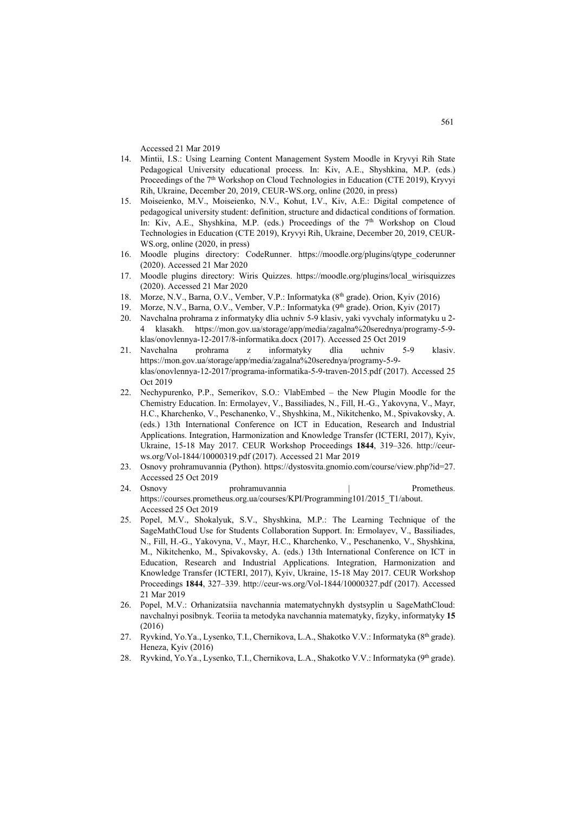Accessed 21 Mar 2019

- 14. Mintii, I.S.: Using Learning Content Management System Moodle in Kryvyi Rih State Pedagogical University educational process. In: Kiv, A.E., Shyshkina, M.P. (eds.) Proceedings of the 7<sup>th</sup> Workshop on Cloud Technologies in Education (CTE 2019), Kryvyi Rih, Ukraine, December 20, 2019, CEUR-WS.org, online (2020, in press)
- 15. Moiseienko, M.V., Moiseienko, N.V., Kohut, I.V., Kiv, A.E.: Digital competence of pedagogical university student: definition, structure and didactical conditions of formation. In: Kiv, A.E., Shyshkina, M.P. (eds.) Proceedings of the 7<sup>th</sup> Workshop on Cloud Technologies in Education (CTE 2019), Kryvyi Rih, Ukraine, December 20, 2019, CEUR-WS.org, online (2020, in press)
- 16. Moodle plugins directory: CodeRunner. [https://moodle.org/plugins/qtype\\_coderunner](https://moodle.org/plugins/qtype_coderunner) (2020). Accessed 21 Mar 2020
- 17. Moodle plugins directory: Wiris Quizzes. [https://moodle.org/plugins/local\\_wirisquizzes](https://moodle.org/plugins/local_wirisquizzes) (2020). Accessed 21 Mar 2020
- 18. Morze, N.V., Barna, O.V., Vember, V.P.: Informatyka (8<sup>th</sup> grade). Orion, Kyiv (2016)
- 19. Morze, N.V., Barna, O.V., Vember, V.P.: Informatyka (9<sup>th</sup> grade). Orion, Kyiv (2017)
- 20. Navchalna prohrama z informatyky dlia uchniv 5-9 klasiv, yaki vyvchaly informatyku u 2- 4 klasakh. [https://mon.gov.ua/storage/app/media/zagalna%20serednya/programy-5-9](https://mon.gov.ua/storage/app/media/zagalna%20serednya/programy-5-9-) klas/onovlennya-12-2017/8-informatika.docx (2017). Accessed 25 Oct 2019
- 21. Navchalna prohrama z informatyky dlia uchniv 5-9 klasiv. [https://mon.gov.ua/storage/app/media/zagalna%20serednya/programy-5-9](https://mon.gov.ua/storage/app/media/zagalna%20serednya/programy-5-9-) klas/onovlennya-12-2017/programa-informatika-5-9-traven-2015.pdf (2017). Accessed 25 Oct 2019
- 22. Nechypurenko, P.P., Semerikov, S.O.: VlabEmbed the New Plugin Moodle for the Chemistry Education. In: Ermolayev, V., Bassiliades, N., Fill, H.-G., Yakovyna, V., Mayr, H.C., Kharchenko, V., Peschanenko, V., Shyshkina, M., Nikitchenko, M., Spivakovsky, A. (eds.) 13th International Conference on ICT in Education, Research and Industrial Applications. Integration, Harmonization and Knowledge Transfer (ICTERI, 2017), Kyiv, Ukraine, 15-18 May 2017. CEUR Workshop Proceedings **1844**, 319–326. [http://ceur](http://ceur-)ws.org/Vol-1844/10000319.pdf (2017). Accessed 21 Mar 2019
- 23. Osnovy prohramuvannia (Python). <https://dystosvita.gnomio.com/course/view.php?id=27.> Accessed 25 Oct 2019
- 24. Osnovy prohramuvannia and prometheus. [https://courses.prometheus.org.ua/courses/KPI/Programming101/2015\\_T1/about.](https://courses.prometheus.org.ua/courses/KPI/Programming101/2015_T1/about.) Accessed 25 Oct 2019
- 25. Popel, M.V., Shokalyuk, S.V., Shyshkina, M.P.: The Learning Technique of the SageMathCloud Use for Students Collaboration Support. In: Ermolayev, V., Bassiliades, N., Fill, H.-G., Yakovyna, V., Mayr, H.C., Kharchenko, V., Peschanenko, V., Shyshkina, M., Nikitchenko, M., Spivakovsky, A. (eds.) 13th International Conference on ICT in Education, Research and Industrial Applications. Integration, Harmonization and Knowledge Transfer (ICTERI, 2017), Kyiv, Ukraine, 15-18 May 2017. CEUR Workshop Proceedings **1844**, 327–339. <http://ceur-ws.org/Vol-1844/10000327.pdf> (2017). Accessed 21 Mar 2019
- 26. Popel, М.V.: Orhanizatsiia navchannia matematychnykh dystsyplin u SageMathCloud: navchalnyi posibnyk. Teoriia ta metodyka navchannia matematyky, fizyky, informatyky **15** (2016)
- 27. Ryvkind, Yo.Ya., Lysenko, T.I., Chernikova, L.A., Shakotko V.V.: Informatyka (8<sup>th</sup> grade). Heneza, Kyiv (2016)
- 28. Ryvkind, Yo.Ya., Lysenko, T.I., Chernikova, L.A., Shakotko V.V.: Informatyka (9<sup>th</sup> grade).